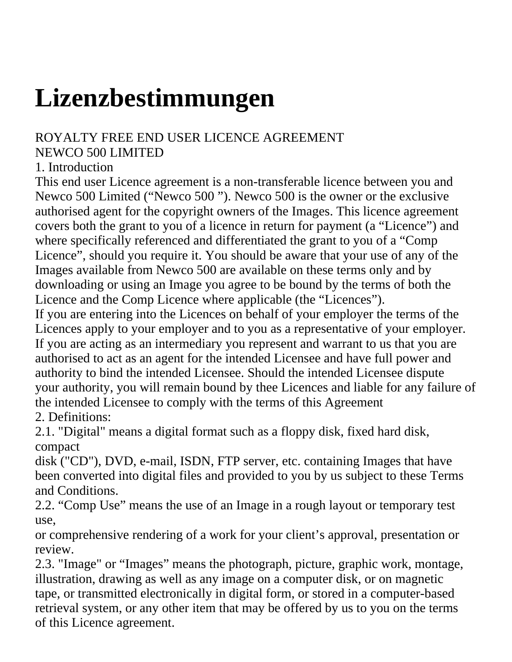## **Lizenzbestimmungen**

## ROYALTY FREE END USER LICENCE AGREEMENT

## NEWCO 500 LIMITED

## 1. Introduction

This end user Licence agreement is a non-transferable licence between you and Newco 500 Limited ("Newco 500 "). Newco 500 is the owner or the exclusive authorised agent for the copyright owners of the Images. This licence agreement covers both the grant to you of a licence in return for payment (a "Licence") and where specifically referenced and differentiated the grant to you of a "Comp Licence", should you require it. You should be aware that your use of any of the Images available from Newco 500 are available on these terms only and by downloading or using an Image you agree to be bound by the terms of both the Licence and the Comp Licence where applicable (the "Licences").

If you are entering into the Licences on behalf of your employer the terms of the Licences apply to your employer and to you as a representative of your employer. If you are acting as an intermediary you represent and warrant to us that you are authorised to act as an agent for the intended Licensee and have full power and authority to bind the intended Licensee. Should the intended Licensee dispute your authority, you will remain bound by thee Licences and liable for any failure of the intended Licensee to comply with the terms of this Agreement 2. Definitions:

2.1. "Digital" means a digital format such as a floppy disk, fixed hard disk, compact

disk ("CD"), DVD, e-mail, ISDN, FTP server, etc. containing Images that have been converted into digital files and provided to you by us subject to these Terms and Conditions.

2.2. "Comp Use" means the use of an Image in a rough layout or temporary test use,

or comprehensive rendering of a work for your client's approval, presentation or review.

2.3. "Image" or "Images" means the photograph, picture, graphic work, montage, illustration, drawing as well as any image on a computer disk, or on magnetic tape, or transmitted electronically in digital form, or stored in a computer-based retrieval system, or any other item that may be offered by us to you on the terms of this Licence agreement.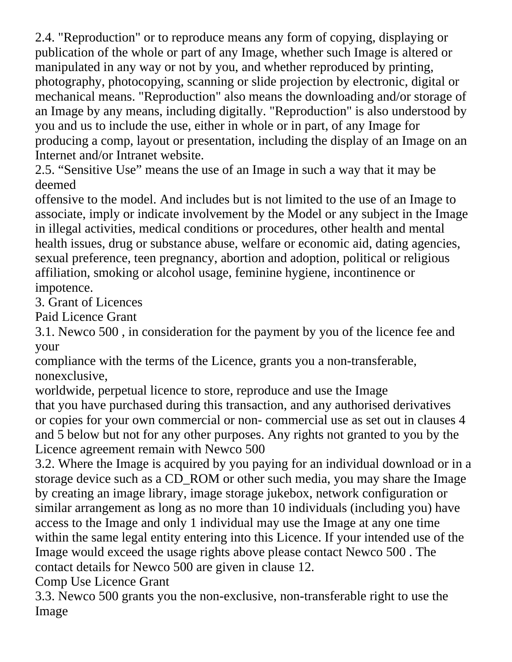2.4. "Reproduction" or to reproduce means any form of copying, displaying or publication of the whole or part of any Image, whether such Image is altered or manipulated in any way or not by you, and whether reproduced by printing, photography, photocopying, scanning or slide projection by electronic, digital or mechanical means. "Reproduction" also means the downloading and/or storage of an Image by any means, including digitally. "Reproduction" is also understood by you and us to include the use, either in whole or in part, of any Image for producing a comp, layout or presentation, including the display of an Image on an Internet and/or Intranet website.

2.5. "Sensitive Use" means the use of an Image in such a way that it may be deemed

offensive to the model. And includes but is not limited to the use of an Image to associate, imply or indicate involvement by the Model or any subject in the Image in illegal activities, medical conditions or procedures, other health and mental health issues, drug or substance abuse, welfare or economic aid, dating agencies, sexual preference, teen pregnancy, abortion and adoption, political or religious affiliation, smoking or alcohol usage, feminine hygiene, incontinence or impotence.

3. Grant of Licences

Paid Licence Grant

3.1. Newco 500 , in consideration for the payment by you of the licence fee and your

compliance with the terms of the Licence, grants you a non-transferable, nonexclusive,

worldwide, perpetual licence to store, reproduce and use the Image that you have purchased during this transaction, and any authorised derivatives or copies for your own commercial or non- commercial use as set out in clauses 4 and 5 below but not for any other purposes. Any rights not granted to you by the Licence agreement remain with Newco 500

3.2. Where the Image is acquired by you paying for an individual download or in a storage device such as a CD\_ROM or other such media, you may share the Image by creating an image library, image storage jukebox, network configuration or similar arrangement as long as no more than 10 individuals (including you) have access to the Image and only 1 individual may use the Image at any one time within the same legal entity entering into this Licence. If your intended use of the Image would exceed the usage rights above please contact Newco 500 . The contact details for Newco 500 are given in clause 12.

Comp Use Licence Grant

3.3. Newco 500 grants you the non-exclusive, non-transferable right to use the Image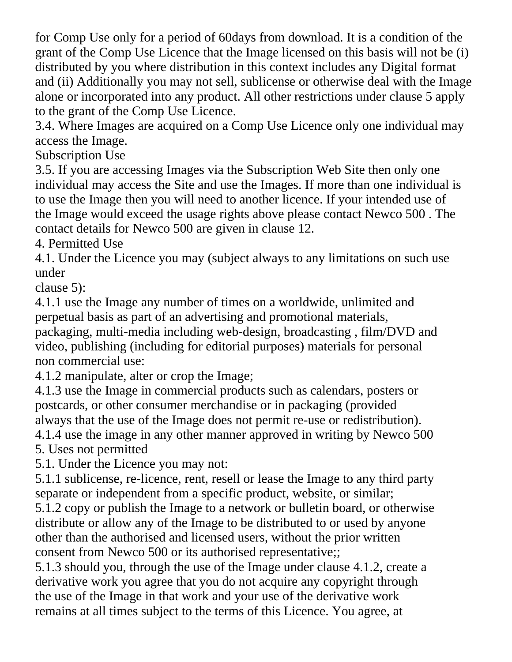for Comp Use only for a period of 60days from download. It is a condition of the grant of the Comp Use Licence that the Image licensed on this basis will not be (i) distributed by you where distribution in this context includes any Digital format and (ii) Additionally you may not sell, sublicense or otherwise deal with the Image alone or incorporated into any product. All other restrictions under clause 5 apply to the grant of the Comp Use Licence.

3.4. Where Images are acquired on a Comp Use Licence only one individual may access the Image.

Subscription Use

3.5. If you are accessing Images via the Subscription Web Site then only one individual may access the Site and use the Images. If more than one individual is to use the Image then you will need to another licence. If your intended use of the Image would exceed the usage rights above please contact Newco 500 . The contact details for Newco 500 are given in clause 12.

4. Permitted Use

4.1. Under the Licence you may (subject always to any limitations on such use under

clause 5):

4.1.1 use the Image any number of times on a worldwide, unlimited and perpetual basis as part of an advertising and promotional materials, packaging, multi-media including web-design, broadcasting , film/DVD and video, publishing (including for editorial purposes) materials for personal non commercial use:

4.1.2 manipulate, alter or crop the Image;

4.1.3 use the Image in commercial products such as calendars, posters or postcards, or other consumer merchandise or in packaging (provided always that the use of the Image does not permit re-use or redistribution). 4.1.4 use the image in any other manner approved in writing by Newco 500

5. Uses not permitted

5.1. Under the Licence you may not:

5.1.1 sublicense, re-licence, rent, resell or lease the Image to any third party separate or independent from a specific product, website, or similar;

5.1.2 copy or publish the Image to a network or bulletin board, or otherwise distribute or allow any of the Image to be distributed to or used by anyone other than the authorised and licensed users, without the prior written consent from Newco 500 or its authorised representative;;

5.1.3 should you, through the use of the Image under clause 4.1.2, create a derivative work you agree that you do not acquire any copyright through the use of the Image in that work and your use of the derivative work remains at all times subject to the terms of this Licence. You agree, at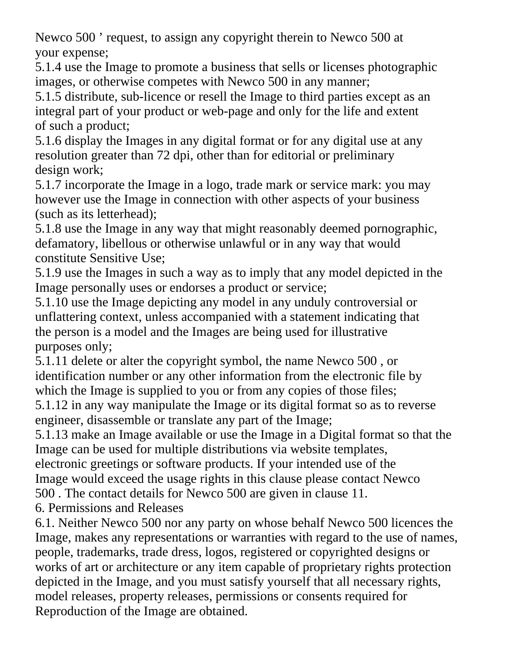Newco 500 ' request, to assign any copyright therein to Newco 500 at your expense;

5.1.4 use the Image to promote a business that sells or licenses photographic images, or otherwise competes with Newco 500 in any manner;

5.1.5 distribute, sub-licence or resell the Image to third parties except as an integral part of your product or web-page and only for the life and extent of such a product;

5.1.6 display the Images in any digital format or for any digital use at any resolution greater than 72 dpi, other than for editorial or preliminary design work;

5.1.7 incorporate the Image in a logo, trade mark or service mark: you may however use the Image in connection with other aspects of your business (such as its letterhead);

5.1.8 use the Image in any way that might reasonably deemed pornographic, defamatory, libellous or otherwise unlawful or in any way that would constitute Sensitive Use;

5.1.9 use the Images in such a way as to imply that any model depicted in the Image personally uses or endorses a product or service;

5.1.10 use the Image depicting any model in any unduly controversial or unflattering context, unless accompanied with a statement indicating that the person is a model and the Images are being used for illustrative purposes only;

5.1.11 delete or alter the copyright symbol, the name Newco 500 , or identification number or any other information from the electronic file by which the Image is supplied to you or from any copies of those files;

5.1.12 in any way manipulate the Image or its digital format so as to reverse engineer, disassemble or translate any part of the Image;

5.1.13 make an Image available or use the Image in a Digital format so that the Image can be used for multiple distributions via website templates,

electronic greetings or software products. If your intended use of the Image would exceed the usage rights in this clause please contact Newco 500 . The contact details for Newco 500 are given in clause 11.

6. Permissions and Releases

6.1. Neither Newco 500 nor any party on whose behalf Newco 500 licences the Image, makes any representations or warranties with regard to the use of names, people, trademarks, trade dress, logos, registered or copyrighted designs or works of art or architecture or any item capable of proprietary rights protection depicted in the Image, and you must satisfy yourself that all necessary rights, model releases, property releases, permissions or consents required for Reproduction of the Image are obtained.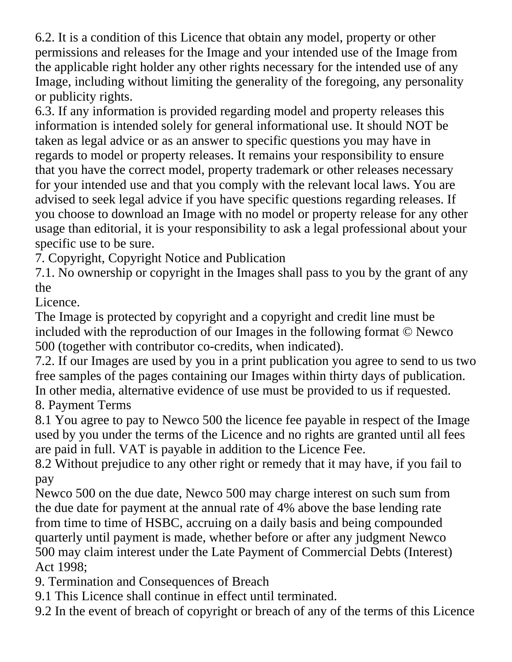6.2. It is a condition of this Licence that obtain any model, property or other permissions and releases for the Image and your intended use of the Image from the applicable right holder any other rights necessary for the intended use of any Image, including without limiting the generality of the foregoing, any personality or publicity rights.

6.3. If any information is provided regarding model and property releases this information is intended solely for general informational use. It should NOT be taken as legal advice or as an answer to specific questions you may have in regards to model or property releases. It remains your responsibility to ensure that you have the correct model, property trademark or other releases necessary for your intended use and that you comply with the relevant local laws. You are advised to seek legal advice if you have specific questions regarding releases. If you choose to download an Image with no model or property release for any other usage than editorial, it is your responsibility to ask a legal professional about your specific use to be sure.

7. Copyright, Copyright Notice and Publication

7.1. No ownership or copyright in the Images shall pass to you by the grant of any the

Licence.

The Image is protected by copyright and a copyright and credit line must be included with the reproduction of our Images in the following format © Newco 500 (together with contributor co-credits, when indicated).

7.2. If our Images are used by you in a print publication you agree to send to us two free samples of the pages containing our Images within thirty days of publication. In other media, alternative evidence of use must be provided to us if requested.

8. Payment Terms

8.1 You agree to pay to Newco 500 the licence fee payable in respect of the Image used by you under the terms of the Licence and no rights are granted until all fees are paid in full. VAT is payable in addition to the Licence Fee.

8.2 Without prejudice to any other right or remedy that it may have, if you fail to pay

Newco 500 on the due date, Newco 500 may charge interest on such sum from the due date for payment at the annual rate of 4% above the base lending rate from time to time of HSBC, accruing on a daily basis and being compounded quarterly until payment is made, whether before or after any judgment Newco 500 may claim interest under the Late Payment of Commercial Debts (Interest) Act 1998;

9. Termination and Consequences of Breach

9.1 This Licence shall continue in effect until terminated.

9.2 In the event of breach of copyright or breach of any of the terms of this Licence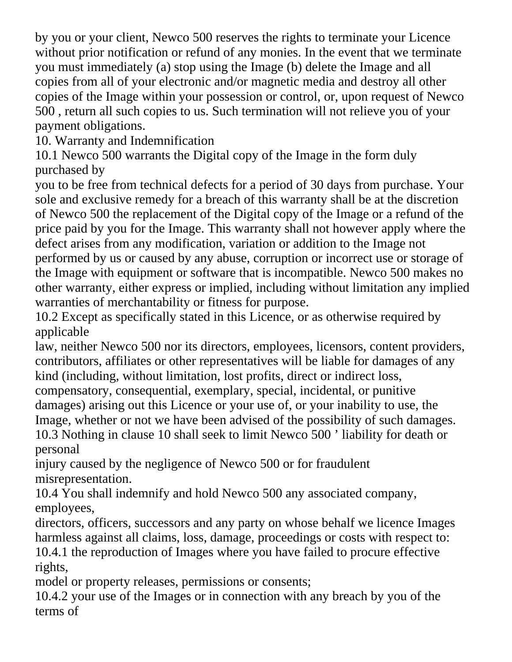by you or your client, Newco 500 reserves the rights to terminate your Licence without prior notification or refund of any monies. In the event that we terminate you must immediately (a) stop using the Image (b) delete the Image and all copies from all of your electronic and/or magnetic media and destroy all other copies of the Image within your possession or control, or, upon request of Newco 500 , return all such copies to us. Such termination will not relieve you of your payment obligations.

10. Warranty and Indemnification

10.1 Newco 500 warrants the Digital copy of the Image in the form duly purchased by

you to be free from technical defects for a period of 30 days from purchase. Your sole and exclusive remedy for a breach of this warranty shall be at the discretion of Newco 500 the replacement of the Digital copy of the Image or a refund of the price paid by you for the Image. This warranty shall not however apply where the defect arises from any modification, variation or addition to the Image not performed by us or caused by any abuse, corruption or incorrect use or storage of the Image with equipment or software that is incompatible. Newco 500 makes no other warranty, either express or implied, including without limitation any implied warranties of merchantability or fitness for purpose.

10.2 Except as specifically stated in this Licence, or as otherwise required by applicable

law, neither Newco 500 nor its directors, employees, licensors, content providers, contributors, affiliates or other representatives will be liable for damages of any kind (including, without limitation, lost profits, direct or indirect loss, compensatory, consequential, exemplary, special, incidental, or punitive damages) arising out this Licence or your use of, or your inability to use, the

Image, whether or not we have been advised of the possibility of such damages. 10.3 Nothing in clause 10 shall seek to limit Newco 500 ' liability for death or personal

injury caused by the negligence of Newco 500 or for fraudulent misrepresentation.

10.4 You shall indemnify and hold Newco 500 any associated company, employees,

directors, officers, successors and any party on whose behalf we licence Images harmless against all claims, loss, damage, proceedings or costs with respect to: 10.4.1 the reproduction of Images where you have failed to procure effective rights,

model or property releases, permissions or consents;

10.4.2 your use of the Images or in connection with any breach by you of the terms of